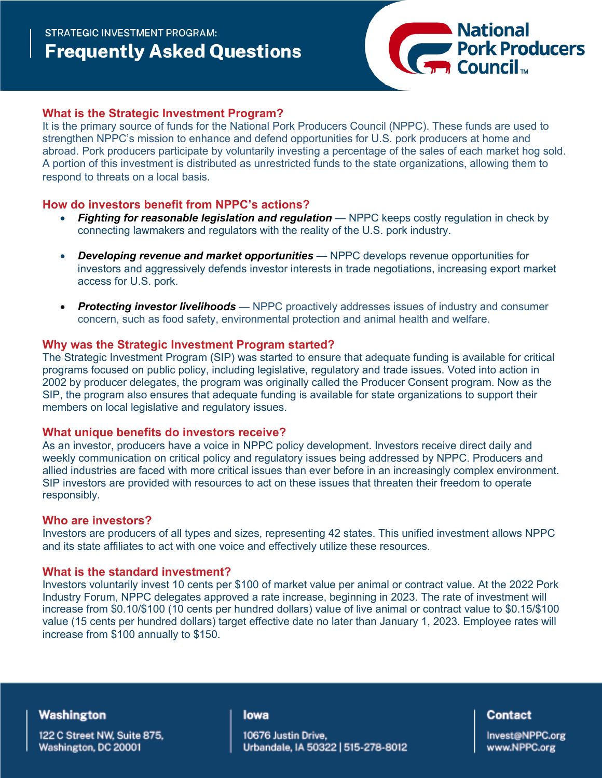

## **What is the Strategic Investment Program?**

It is the primary source of funds for the National Pork Producers Council (NPPC). These funds are used to strengthen NPPC's mission to enhance and defend opportunities for U.S. pork producers at home and abroad. Pork producers participate by voluntarily investing a percentage of the sales of each market hog sold. A portion of this investment is distributed as unrestricted funds to the state organizations, allowing them to respond to threats on a local basis.

## **How do investors benefit from NPPC's actions?**

- **Fighting for reasonable legislation and regulation** NPPC keeps costly regulation in check by connecting lawmakers and regulators with the reality of the U.S. pork industry.
- *Developing revenue and market opportunities* NPPC develops revenue opportunities for investors and aggressively defends investor interests in trade negotiations, increasing export market access for U.S. pork.
- *Protecting investor livelihoods* NPPC proactively addresses issues of industry and consumer concern, such as food safety, environmental protection and animal health and welfare.

### **Why was the Strategic Investment Program started?**

The Strategic Investment Program (SIP) was started to ensure that adequate funding is available for critical programs focused on public policy, including legislative, regulatory and trade issues. Voted into action in 2002 by producer delegates, the program was originally called the Producer Consent program. Now as the SIP, the program also ensures that adequate funding is available for state organizations to support their members on local legislative and regulatory issues.

## **What unique benefits do investors receive?**

As an investor, producers have a voice in NPPC policy development. Investors receive direct daily and weekly communication on critical policy and regulatory issues being addressed by NPPC. Producers and allied industries are faced with more critical issues than ever before in an increasingly complex environment. SIP investors are provided with resources to act on these issues that threaten their freedom to operate responsibly.

### **Who are investors?**

Investors are producers of all types and sizes, representing 42 states. This unified investment allows NPPC and its state affiliates to act with one voice and effectively utilize these resources.

## **What is the standard investment?**

Investors voluntarily invest 10 cents per \$100 of market value per animal or contract value. At the 2022 Pork Industry Forum, NPPC delegates approved a rate increase, beginning in 2023. The rate of investment will increase from \$0.10/\$100 (10 cents per hundred dollars) value of live animal or contract value to \$0.15/\$100 value (15 cents per hundred dollars) target effective date no later than January 1, 2023. Employee rates will increase from \$100 annually to \$150.

## Washington

122 C Street NW, Suite 875, Washington, DC 20001

#### lowa

10676 Justin Drive, Urbandale, IA 50322 | 515-278-8012

### Contact

Invest@NPPC.org www.NPPC.org